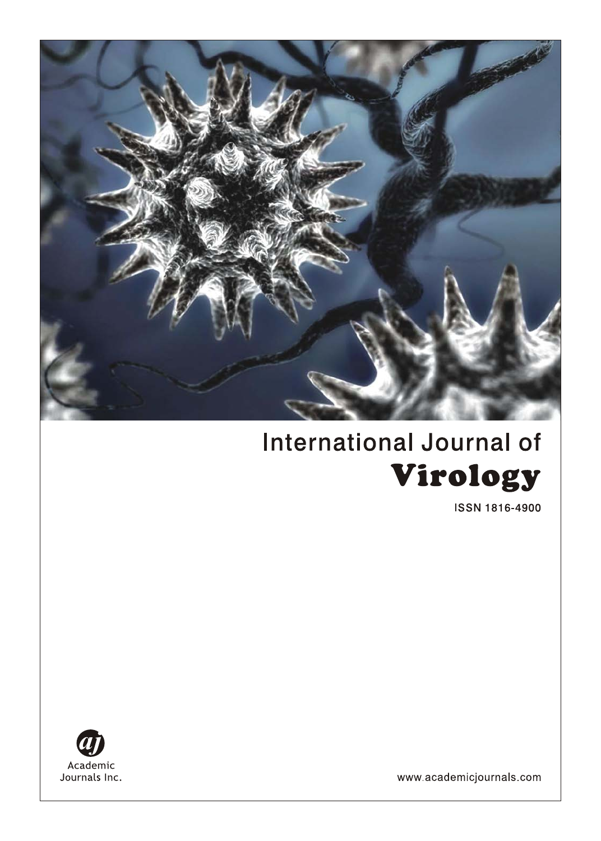

# **International Journal of** Virology

**ISSN 1816-4900** 



www.academicjournals.com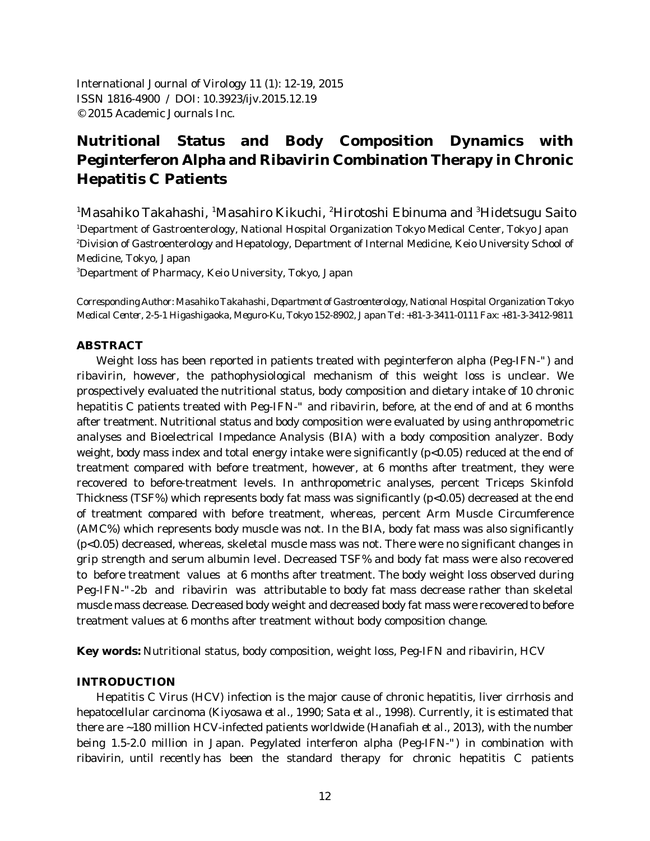International Journal of Virology 11 (1): 12-19, 2015 ISSN 1816-4900 / DOI: 10.3923/ijv.2015.12.19 © 2015 Academic Journals Inc.

# **Nutritional Status and Body Composition Dynamics with Peginterferon Alpha and Ribavirin Combination Therapy in Chronic Hepatitis C Patients**

<sup>1</sup>Masahiko Takahashi, <sup>1</sup>Masahiro Kikuchi, <sup>2</sup>Hirotoshi Ebinuma and <sup>3</sup>Hidetsugu Saito <sup>1</sup>Department of Gastroenterology, National Hospital Organization Tokyo Medical Center, Tokyo Japan <sup>2</sup>Division of Gastroenterology and Hepatology, Department of Internal Medicine, Keio University School of Medicine, Tokyo, Japan

Department of Pharmacy, Keio University, Tokyo, Japan <sup>3</sup>

*Corresponding Author: Masahiko Takahashi, Department of Gastroenterology, National Hospital Organization Tokyo Medical Center, 2-5-1 Higashigaoka, Meguro-Ku, Tokyo 152-8902, Japan Tel: +81-3-3411-0111 Fax: +81-3-3412-9811*

#### **ABSTRACT**

Weight loss has been reported in patients treated with peginterferon alpha (Peg-IFN-") and ribavirin, however, the pathophysiological mechanism of this weight loss is unclear. We prospectively evaluated the nutritional status, body composition and dietary intake of 10 chronic hepatitis C patients treated with Peg-IFN-" and ribavirin, before, at the end of and at 6 months after treatment. Nutritional status and body composition were evaluated by using anthropometric analyses and Bioelectrical Impedance Analysis (BIA) with a body composition analyzer. Body weight, body mass index and total energy intake were significantly (p<0.05) reduced at the end of treatment compared with before treatment, however, at 6 months after treatment, they were recovered to before-treatment levels. In anthropometric analyses, percent Triceps Skinfold Thickness (TSF%) which represents body fat mass was significantly (p<0.05) decreased at the end of treatment compared with before treatment, whereas, percent Arm Muscle Circumference (AMC%) which represents body muscle was not. In the BIA, body fat mass was also significantly (p<0.05) decreased, whereas, skeletal muscle mass was not. There were no significant changes in grip strength and serum albumin level. Decreased TSF% and body fat mass were also recovered to before treatment values at 6 months after treatment. The body weight loss observed during Peg-IFN-"-2b and ribavirin was attributable to body fat mass decrease rather than skeletal muscle mass decrease. Decreased body weight and decreased body fat mass were recovered to before treatment values at 6 months after treatment without body composition change.

**Key words:** Nutritional status, body composition, weight loss, Peg-IFN and ribavirin, HCV

#### **INTRODUCTION**

Hepatitis C Virus (HCV) infection is the major cause of chronic hepatitis, liver cirrhosis and hepatocellular carcinoma (Kiyosawa *et al*., 1990; Sata *et al*., 1998). Currently, it is estimated that there are ~180 million HCV-infected patients worldwide (Hanafiah *et al*., 2013), with the number being 1.5-2.0 million in Japan. Pegylated interferon alpha (Peg-IFN-") in combination with ribavirin, until recently has been the standard therapy for chronic hepatitis C patients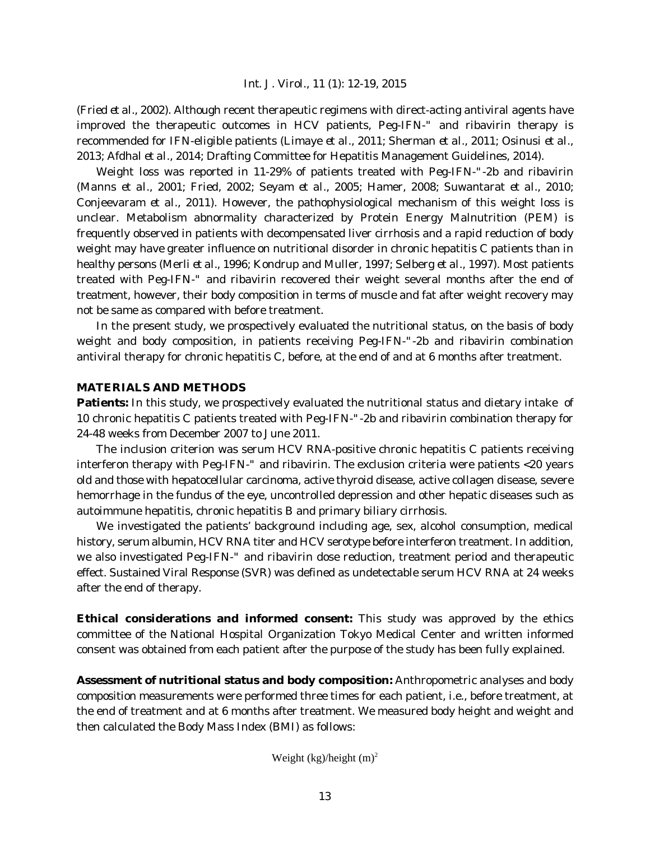(Fried *et al*., 2002). Although recent therapeutic regimens with direct-acting antiviral agents have improved the therapeutic outcomes in HCV patients, Peg-IFN-" and ribavirin therapy is recommended for IFN-eligible patients (Limaye *et al*., 2011; Sherman *et al*., 2011; Osinusi *et al*., 2013; Afdhal *et al*., 2014; Drafting Committee for Hepatitis Management Guidelines, 2014).

Weight loss was reported in 11-29% of patients treated with Peg-IFN-"-2b and ribavirin (Manns *et al*., 2001; Fried, 2002; Seyam *et al*., 2005; Hamer, 2008; Suwantarat *et al*., 2010; Conjeevaram *et al*., 2011). However, the pathophysiological mechanism of this weight loss is unclear. Metabolism abnormality characterized by Protein Energy Malnutrition (PEM) is frequently observed in patients with decompensated liver cirrhosis and a rapid reduction of body weight may have greater influence on nutritional disorder in chronic hepatitis C patients than in healthy persons (Merli *et al*., 1996; Kondrup and Muller, 1997; Selberg *et al*., 1997). Most patients treated with Peg-IFN-" and ribavirin recovered their weight several months after the end of treatment, however, their body composition in terms of muscle and fat after weight recovery may not be same as compared with before treatment.

In the present study, we prospectively evaluated the nutritional status, on the basis of body weight and body composition, in patients receiving Peg-IFN-"-2b and ribavirin combination antiviral therapy for chronic hepatitis C, before, at the end of and at 6 months after treatment.

## **MATERIALS AND METHODS**

**Patients:** In this study, we prospectively evaluated the nutritional status and dietary intake of 10 chronic hepatitis C patients treated with Peg-IFN-"-2b and ribavirin combination therapy for 24-48 weeks from December 2007 to June 2011.

The inclusion criterion was serum HCV RNA-positive chronic hepatitis C patients receiving interferon therapy with Peg-IFN-" and ribavirin. The exclusion criteria were patients <20 years old and those with hepatocellular carcinoma, active thyroid disease, active collagen disease, severe hemorrhage in the fundus of the eye, uncontrolled depression and other hepatic diseases such as autoimmune hepatitis, chronic hepatitis B and primary biliary cirrhosis.

We investigated the patients' background including age, sex, alcohol consumption, medical history, serum albumin, HCV RNA titer and HCV serotype before interferon treatment. In addition, we also investigated Peg-IFN-" and ribavirin dose reduction, treatment period and therapeutic effect. Sustained Viral Response (SVR) was defined as undetectable serum HCV RNA at 24 weeks after the end of therapy.

**Ethical considerations and informed consent:** This study was approved by the ethics committee of the National Hospital Organization Tokyo Medical Center and written informed consent was obtained from each patient after the purpose of the study has been fully explained.

**Assessment of nutritional status and body composition:** Anthropometric analyses and body composition measurements were performed three times for each patient, i.e., before treatment, at the end of treatment and at 6 months after treatment. We measured body height and weight and then calculated the Body Mass Index (BMI) as follows:

Weight (kg)/height  $(m)^2$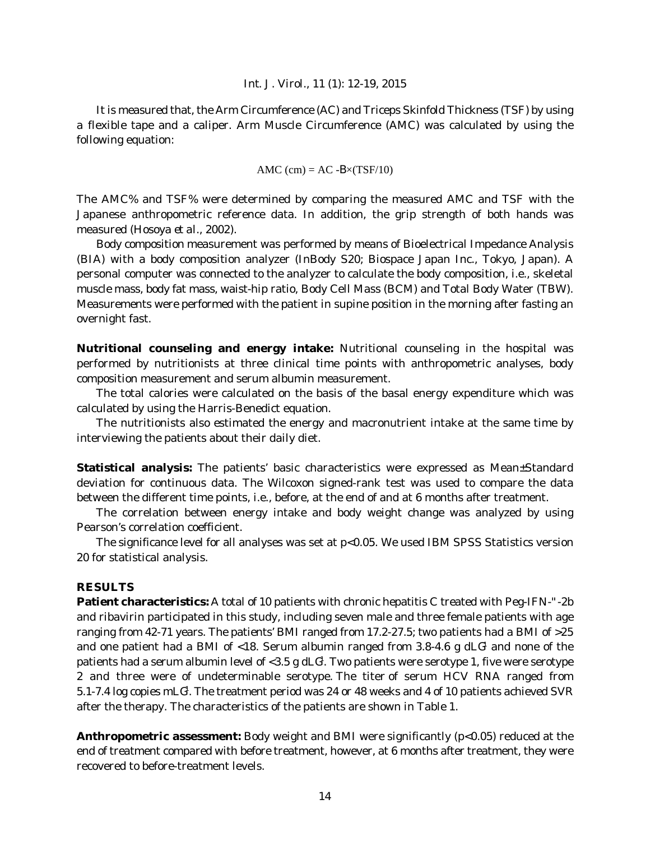It is measured that, the Arm Circumference (AC) and Triceps Skinfold Thickness (TSF) by using a flexible tape and a caliper. Arm Muscle Circumference (AMC) was calculated by using the following equation:

$$
AMC (cm) = AC - B \times (TSF/10)
$$

The AMC% and TSF% were determined by comparing the measured AMC and TSF with the Japanese anthropometric reference data. In addition, the grip strength of both hands was measured (Hosoya *et al*., 2002).

Body composition measurement was performed by means of Bioelectrical Impedance Analysis (BIA) with a body composition analyzer (InBody S20; Biospace Japan Inc., Tokyo, Japan). A personal computer was connected to the analyzer to calculate the body composition, i.e., skeletal muscle mass, body fat mass, waist-hip ratio, Body Cell Mass (BCM) and Total Body Water (TBW). Measurements were performed with the patient in supine position in the morning after fasting an overnight fast.

**Nutritional counseling and energy intake:** Nutritional counseling in the hospital was performed by nutritionists at three clinical time points with anthropometric analyses, body composition measurement and serum albumin measurement.

The total calories were calculated on the basis of the basal energy expenditure which was calculated by using the Harris-Benedict equation.

The nutritionists also estimated the energy and macronutrient intake at the same time by interviewing the patients about their daily diet.

**Statistical analysis:** The patients' basic characteristics were expressed as Mean±Standard deviation for continuous data. The Wilcoxon signed-rank test was used to compare the data between the different time points, i.e., before, at the end of and at 6 months after treatment.

The correlation between energy intake and body weight change was analyzed by using Pearson's correlation coefficient.

The significance level for all analyses was set at p<0.05. We used IBM SPSS Statistics version 20 for statistical analysis.

#### **RESULTS**

**Patient characteristics:** A total of 10 patients with chronic hepatitis C treated with Peg-IFN-"-2b and ribavirin participated in this study, including seven male and three female patients with age ranging from 42-71 years. The patients' BMI ranged from 17.2-27.5; two patients had a BMI of >25 and one patient had a BMI of <18. Serum albumin ranged from  $3.8$ -4.6 g dLG<sup>1</sup> and none of the patients had a serum albumin level of <3.5 g dLG<sup>1</sup>. Two patients were serotype 1, five were serotype 2 and three were of undeterminable serotype. The titer of serum HCV RNA ranged from 5.1-7.4 log copies mLG<sup>1</sup>. The treatment period was 24 or 48 weeks and 4 of 10 patients achieved SVR after the therapy. The characteristics of the patients are shown in Table 1.

**Anthropometric assessment:** Body weight and BMI were significantly (p<0.05) reduced at the end of treatment compared with before treatment, however, at 6 months after treatment, they were recovered to before-treatment levels.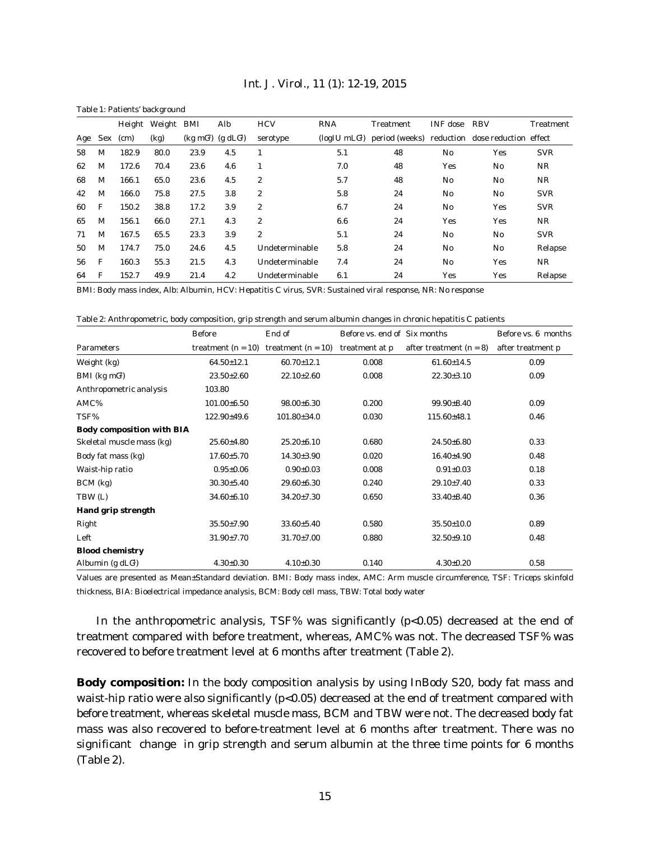| Table 1: Patients' background |     |        |            |                |                         |                  |                     |           |                |                                                |            |
|-------------------------------|-----|--------|------------|----------------|-------------------------|------------------|---------------------|-----------|----------------|------------------------------------------------|------------|
|                               |     | Height | Weight BMI |                | Alb                     | <b>HCV</b>       | <b>RNA</b>          | Treatment | INF dose       | <b>RBV</b>                                     | Treatment  |
| Age                           | Sex | (cm)   | (kg)       | $(kg \; mG^2)$ | (g d L G <sup>1</sup> ) | serotype         | $(log$ IU mL $G1$ ) |           |                | period (weeks) reduction dose reduction effect |            |
| 58                            | M   | 182.9  | 80.0       | 23.9           | 4.5                     |                  | 5.1                 | 48        | No             | Yes                                            | <b>SVR</b> |
| 62                            | M   | 172.6  | 70.4       | 23.6           | 4.6                     | 1                | 7.0                 | 48        | Yes            | N <sub>0</sub>                                 | NR         |
| 68                            | М   | 166.1  | 65.0       | 23.6           | 4.5                     | $\boldsymbol{2}$ | 5.7                 | 48        | N <sub>0</sub> | N <sub>0</sub>                                 | NR         |
| 42                            | М   | 166.0  | 75.8       | 27.5           | 3.8                     | $\boldsymbol{2}$ | 5.8                 | 24        | N <sub>0</sub> | N <sub>0</sub>                                 | <b>SVR</b> |
| 60                            | F   | 150.2  | 38.8       | 17.2           | 3.9                     | $\boldsymbol{2}$ | 6.7                 | 24        | N <sub>0</sub> | Yes                                            | <b>SVR</b> |
| 65                            | М   | 156.1  | 66.0       | 27.1           | 4.3                     | $\overline{c}$   | 6.6                 | 24        | Yes            | Yes                                            | NR         |
| 71                            | М   | 167.5  | 65.5       | 23.3           | 3.9                     | $\boldsymbol{2}$ | 5.1                 | 24        | N <sub>0</sub> | N <sub>0</sub>                                 | <b>SVR</b> |
| 50                            | М   | 174.7  | 75.0       | 24.6           | 4.5                     | Undeterminable   | 5.8                 | 24        | N <sub>0</sub> | N <sub>0</sub>                                 | Relapse    |
| 56                            | F   | 160.3  | 55.3       | 21.5           | 4.3                     | Undeterminable   | 7.4                 | 24        | N <sub>0</sub> | Yes                                            | NR         |
| 64                            | F   | 152.7  | 49.9       | 21.4           | 4.2                     | Undeterminable   | 6.1                 | 24        | Yes            | Yes                                            | Relapse    |

*Int. J. Virol., 11 (1): 12-19, 2015*

BMI: Body mass index, Alb: Albumin, HCV: Hepatitis C virus, SVR: Sustained viral response, NR: No response

Table 2: Anthropometric, body composition, grip strength and serum albumin changes in chronic hepatitis C patients

|                                  | <b>Before</b>        | End of               | Before vs. end of Six months |                           | Before vs. 6 months |
|----------------------------------|----------------------|----------------------|------------------------------|---------------------------|---------------------|
| <b>Parameters</b>                | treatment $(n = 10)$ | treatment $(n = 10)$ | treatment at p               | after treatment $(n = 8)$ | after treatment p   |
| Weight (kg)                      | $64.50 \pm 12.1$     | $60.70 \pm 12.1$     | 0.008                        | $61.60 \pm 14.5$          | 0.09                |
| BMI ( $kg \, \text{mG}^2$ )      | $23.50 \pm 2.60$     | $22.10 \pm 2.60$     | 0.008                        | $22.30 \pm 3.10$          | 0.09                |
| Anthropometric analysis          | 103.80               |                      |                              |                           |                     |
| AMC%                             | $101.00\pm 6.50$     | $98.00 \pm 6.30$     | 0.200                        | $99.90 \pm 8.40$          | 0.09                |
| TSF%                             | $122.90 \pm 49.6$    | $101.80 \pm 34.0$    | 0.030                        | $115.60{\pm}48.1$         | 0.46                |
| <b>Body composition with BIA</b> |                      |                      |                              |                           |                     |
| Skeletal muscle mass (kg)        | $25.60{\pm}4.80$     | $25.20 \pm 6.10$     | 0.680                        | $24.50\pm 6.80$           | 0.33                |
| Body fat mass (kg)               | $17.60 \pm 5.70$     | $14.30 \pm 3.90$     | 0.020                        | $16.40{\pm}4.90$          | 0.48                |
| Waist-hip ratio                  | $0.95 \pm 0.06$      | $0.90 \pm 0.03$      | 0.008                        | $0.91 \pm 0.03$           | 0.18                |
| $BCM$ (kg)                       | $30.30{\pm}5.40$     | $29.60 + 6.30$       | 0.240                        | $29.10{\pm}7.40$          | 0.33                |
| TBW (L)                          | $34.60 \pm 6.10$     | $34.20 \pm 7.30$     | 0.650                        | $33.40{\pm}8.40$          | 0.36                |
| <b>Hand grip strength</b>        |                      |                      |                              |                           |                     |
| Right                            | $35.50 \pm 7.90$     | $33.60 + 5.40$       | 0.580                        | $35.50 \pm 10.0$          | 0.89                |
| Left                             | $31.90 \pm 7.70$     | $31.70 \pm 7.00$     | 0.880                        | $32.50+9.10$              | 0.48                |
| <b>Blood chemistry</b>           |                      |                      |                              |                           |                     |
| Albumin (g $dLG1$ )              | $4.30 \pm 0.30$      | $4.10 \pm 0.30$      | 0.140                        | $4.30 \pm 0.20$           | 0.58                |

Values are presented as Mean±Standard deviation. BMI: Body mass index, AMC: Arm muscle circumference, TSF: Triceps skinfold thickness, BIA: Bioelectrical impedance analysis, BCM: Body cell mass, TBW: Total body water

In the anthropometric analysis, TSF% was significantly  $(p<0.05)$  decreased at the end of treatment compared with before treatment, whereas, AMC% was not. The decreased TSF% was recovered to before treatment level at 6 months after treatment (Table 2).

**Body composition:** In the body composition analysis by using InBody S20, body fat mass and waist-hip ratio were also significantly (p<0.05) decreased at the end of treatment compared with before treatment, whereas skeletal muscle mass, BCM and TBW were not. The decreased body fat mass was also recovered to before-treatment level at 6 months after treatment. There was no significant change in grip strength and serum albumin at the three time points for 6 months (Table 2).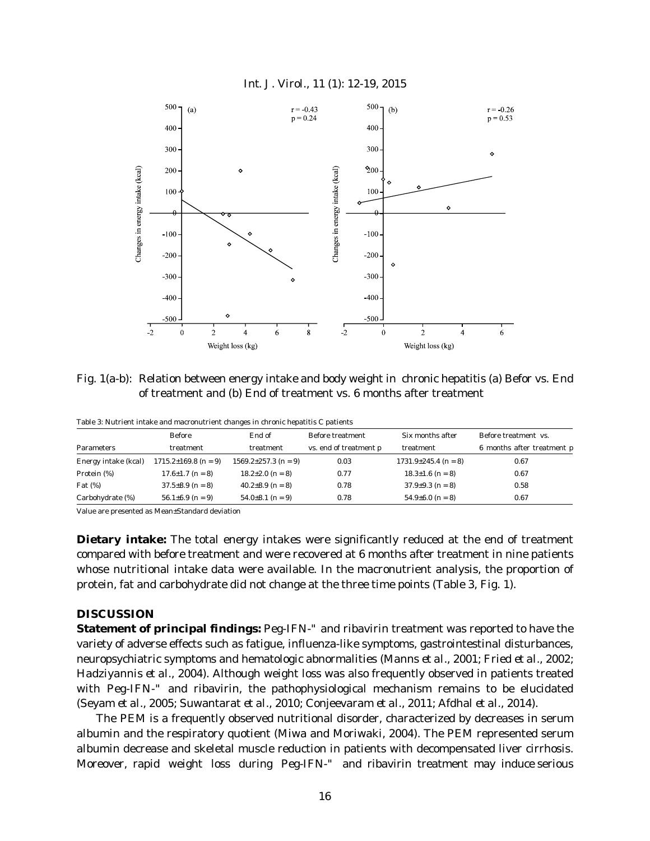



Fig. 1(a-b): Relation between energy intake and body weight in chronic hepatitis (a) Befor vs. End of treatment and (b) End of treatment vs. 6 months after treatment

|                      | Table 9. I valifient intake and macronatifient enanges in chrome hepatitis C patients |                            |                        |                            |                                                    |  |
|----------------------|---------------------------------------------------------------------------------------|----------------------------|------------------------|----------------------------|----------------------------------------------------|--|
|                      | Before                                                                                | End of                     | Before treatment       | Six months after           | Before treatment vs.<br>6 months after treatment p |  |
| Parameters           | treatment                                                                             | treatment                  | vs. end of treatment p | treatment                  |                                                    |  |
| Energy intake (kcal) | $1715.2 \pm 169.8$ (n = 9)                                                            | $1569.2 \pm 257.3$ (n = 9) | 0.03                   | $1731.9 \pm 245.4$ (n = 8) | 0.67                                               |  |
| Protein (%)          | $17.6 \pm 1.7$ (n = 8)                                                                | $18.2 \pm 2.0$ (n = 8)     | 0.77                   | $18.3 \pm 1.6$ (n = 8)     | 0.67                                               |  |
| Fat $(\%)$           | $37.5 \pm 8.9$ (n = 8)                                                                | $40.2 \pm 8.9$ (n = 8)     | 0.78                   | $37.9 \pm 9.3$ (n = 8)     | 0.58                                               |  |
| Carbohydrate (%)     | $56.1\pm6.9$ (n = 9)                                                                  | $54.0\pm8.1$ (n = 9)       | 0.78                   | $54.9 \pm 6.0$ (n = 8)     | 0.67                                               |  |

Table 3: Nutrient intake and macronutrient changes in chronic hepatitis C patients

Value are presented as Mean±Standard deviation

**Dietary intake:** The total energy intakes were significantly reduced at the end of treatment compared with before treatment and were recovered at 6 months after treatment in nine patients whose nutritional intake data were available. In the macronutrient analysis, the proportion of protein, fat and carbohydrate did not change at the three time points (Table 3, Fig. 1).

#### **DISCUSSION**

**Statement of principal findings:** Peg-IFN-" and ribavirin treatment was reported to have the variety of adverse effects such as fatigue, influenza-like symptoms, gastrointestinal disturbances, neuropsychiatric symptoms and hematologic abnormalities (Manns *et al*., 2001; Fried *et al*., 2002; Hadziyannis *et al*., 2004). Although weight loss was also frequently observed in patients treated with Peg-IFN-" and ribavirin, the pathophysiological mechanism remains to be elucidated (Seyam *et al*., 2005; Suwantarat *et al*., 2010; Conjeevaram *et al*., 2011; Afdhal *et al*., 2014).

The PEM is a frequently observed nutritional disorder, characterized by decreases in serum albumin and the respiratory quotient (Miwa and Moriwaki, 2004). The PEM represented serum albumin decrease and skeletal muscle reduction in patients with decompensated liver cirrhosis. Moreover, rapid weight loss during Peg-IFN-" and ribavirin treatment may induce serious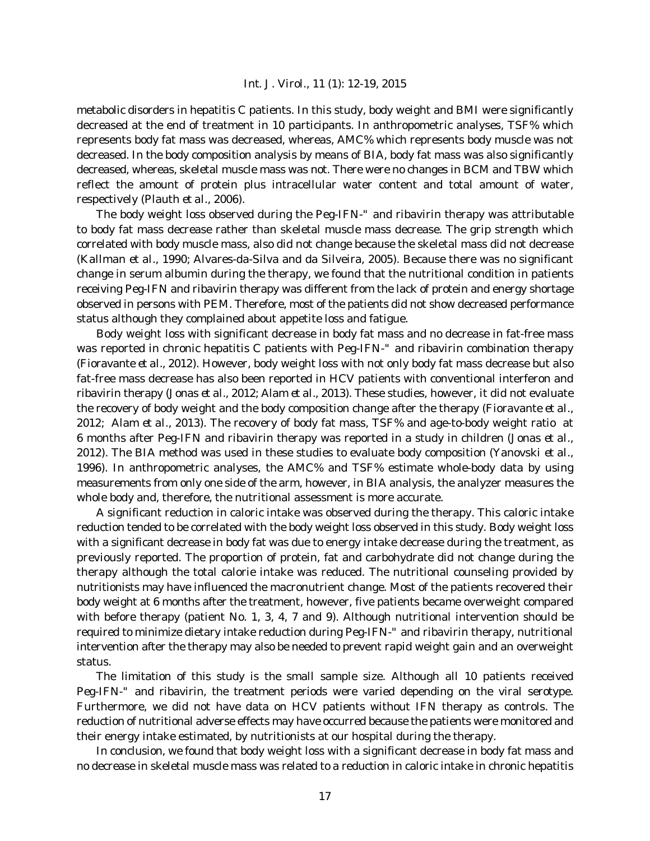metabolic disorders in hepatitis C patients. In this study, body weight and BMI were significantly decreased at the end of treatment in 10 participants. In anthropometric analyses, TSF% which represents body fat mass was decreased, whereas, AMC% which represents body muscle was not decreased. In the body composition analysis by means of BIA, body fat mass was also significantly decreased, whereas, skeletal muscle mass was not. There were no changes in BCM and TBW which reflect the amount of protein plus intracellular water content and total amount of water, respectively (Plauth *et al*., 2006).

The body weight loss observed during the Peg-IFN-" and ribavirin therapy was attributable to body fat mass decrease rather than skeletal muscle mass decrease. The grip strength which correlated with body muscle mass, also did not change because the skeletal mass did not decrease (Kallman *et al*., 1990; Alvares-da-Silva and da Silveira, 2005). Because there was no significant change in serum albumin during the therapy, we found that the nutritional condition in patients receiving Peg-IFN and ribavirin therapy was different from the lack of protein and energy shortage observed in persons with PEM. Therefore, most of the patients did not show decreased performance status although they complained about appetite loss and fatigue.

Body weight loss with significant decrease in body fat mass and no decrease in fat-free mass was reported in chronic hepatitis C patients with Peg-IFN-" and ribavirin combination therapy (Fioravante *et al*., 2012). However, body weight loss with not only body fat mass decrease but also fat-free mass decrease has also been reported in HCV patients with conventional interferon and ribavirin therapy (Jonas *et al*., 2012; Alam *et al*., 2013). These studies, however, it did not evaluate the recovery of body weight and the body composition change after the therapy (Fioravante *et al*., 2012; Alam *et al*., 2013). The recovery of body fat mass, TSF% and age-to-body weight ratio at 6 months after Peg-IFN and ribavirin therapy was reported in a study in children (Jonas *et al*., 2012). The BIA method was used in these studies to evaluate body composition (Yanovski *et al*., 1996). In anthropometric analyses, the AMC% and TSF% estimate whole-body data by using measurements from only one side of the arm, however, in BIA analysis, the analyzer measures the whole body and, therefore, the nutritional assessment is more accurate.

A significant reduction in caloric intake was observed during the therapy. This caloric intake reduction tended to be correlated with the body weight loss observed in this study. Body weight loss with a significant decrease in body fat was due to energy intake decrease during the treatment, as previously reported. The proportion of protein, fat and carbohydrate did not change during the therapy although the total calorie intake was reduced. The nutritional counseling provided by nutritionists may have influenced the macronutrient change. Most of the patients recovered their body weight at 6 months after the treatment, however, five patients became overweight compared with before therapy (patient No. 1, 3, 4, 7 and 9). Although nutritional intervention should be required to minimize dietary intake reduction during Peg-IFN-" and ribavirin therapy, nutritional intervention after the therapy may also be needed to prevent rapid weight gain and an overweight status.

The limitation of this study is the small sample size. Although all 10 patients received Peg-IFN-" and ribavirin, the treatment periods were varied depending on the viral serotype. Furthermore, we did not have data on HCV patients without IFN therapy as controls. The reduction of nutritional adverse effects may have occurred because the patients were monitored and their energy intake estimated, by nutritionists at our hospital during the therapy.

In conclusion, we found that body weight loss with a significant decrease in body fat mass and no decrease in skeletal muscle mass was related to a reduction in caloric intake in chronic hepatitis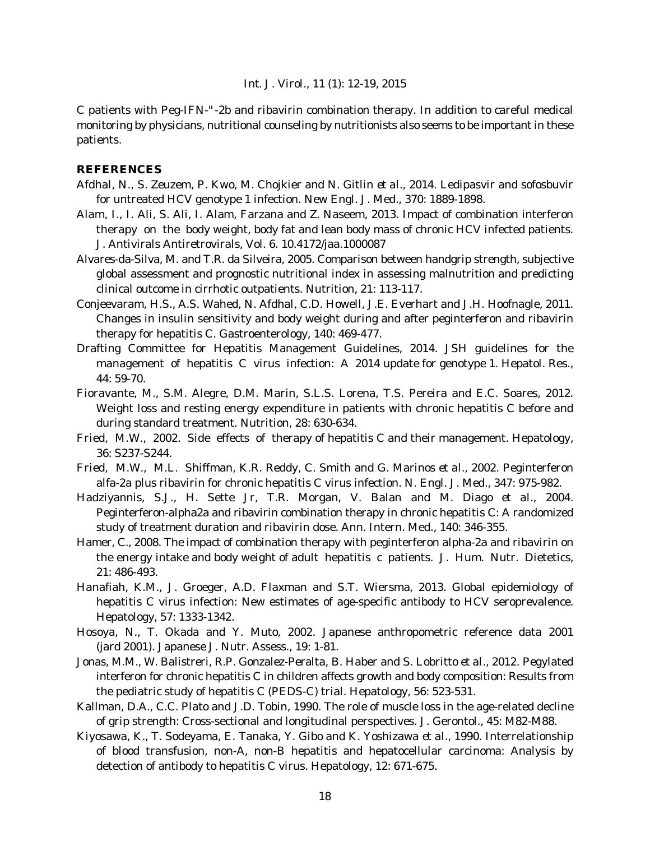C patients with Peg-IFN-"-2b and ribavirin combination therapy. In addition to careful medical monitoring by physicians, nutritional counseling by nutritionists also seems to be important in these patients.

## **REFERENCES**

- Afdhal, N., S. Zeuzem, P. Kwo, M. Chojkier and N. Gitlin *et al*., 2014. Ledipasvir and sofosbuvir for untreated HCV genotype 1 infection. New Engl. J. Med., 370: 1889-1898.
- Alam, I., I. Ali, S. Ali, I. Alam, Farzana and Z. Naseem, 2013. Impact of combination interferon therapy on the body weight, body fat and lean body mass of chronic HCV infected patients. J. Antivirals Antiretrovirals, Vol. 6. 10.4172/jaa.1000087
- Alvares-da-Silva, M. and T.R. da Silveira, 2005. Comparison between handgrip strength, subjective global assessment and prognostic nutritional index in assessing malnutrition and predicting clinical outcome in cirrhotic outpatients. Nutrition, 21: 113-117.
- Conjeevaram, H.S., A.S. Wahed, N. Afdhal, C.D. Howell, J.E. Everhart and J.H. Hoofnagle, 2011. Changes in insulin sensitivity and body weight during and after peginterferon and ribavirin therapy for hepatitis C. Gastroenterology, 140: 469-477.
- Drafting Committee for Hepatitis Management Guidelines, 2014. JSH guidelines for the management of hepatitis C virus infection: A 2014 update for genotype 1. Hepatol. Res., 44: 59-70.
- Fioravante, M., S.M. Alegre, D.M. Marin, S.L.S. Lorena, T.S. Pereira and E.C. Soares, 2012. Weight loss and resting energy expenditure in patients with chronic hepatitis C before and during standard treatment. Nutrition, 28: 630-634.
- Fried, M.W., 2002. Side effects of therapy of hepatitis C and their management. Hepatology, 36: S237-S244.
- Fried, M.W., M.L. Shiffman, K.R. Reddy, C. Smith and G. Marinos *et al*., 2002. Peginterferon alfa-2a plus ribavirin for chronic hepatitis C virus infection. N. Engl. J. Med., 347: 975-982.
- Hadziyannis, S.J., H. Sette Jr, T.R. Morgan, V. Balan and M. Diago *et al*., 2004. Peginterferon-alpha2a and ribavirin combination therapy in chronic hepatitis C: A randomized study of treatment duration and ribavirin dose. Ann. Intern. Med., 140: 346-355.
- Hamer, C., 2008. The impact of combination therapy with peginterferon alpha-2a and ribavirin on the energy intake and body weight of adult hepatitis c patients. J. Hum. Nutr. Dietetics, 21: 486-493.
- Hanafiah, K.M., J. Groeger, A.D. Flaxman and S.T. Wiersma, 2013. Global epidemiology of hepatitis C virus infection: New estimates of age-specific antibody to HCV seroprevalence. Hepatology, 57: 1333-1342.
- Hosoya, N., T. Okada and Y. Muto, 2002. Japanese anthropometric reference data 2001 (jard 2001). Japanese J. Nutr. Assess., 19: 1-81.
- Jonas, M.M., W. Balistreri, R.P. Gonzalez-Peralta, B. Haber and S. Lobritto *et al*., 2012. Pegylated interferon for chronic hepatitis C in children affects growth and body composition: Results from the pediatric study of hepatitis C (PEDS-C) trial. Hepatology, 56: 523-531.
- Kallman, D.A., C.C. Plato and J.D. Tobin, 1990. The role of muscle loss in the age-related decline of grip strength: Cross-sectional and longitudinal perspectives. J. Gerontol., 45: M82-M88.
- Kiyosawa, K., T. Sodeyama, E. Tanaka, Y. Gibo and K. Yoshizawa *et al*., 1990. Interrelationship of blood transfusion, non-A, non-B hepatitis and hepatocellular carcinoma: Analysis by detection of antibody to hepatitis C virus. Hepatology, 12: 671-675.